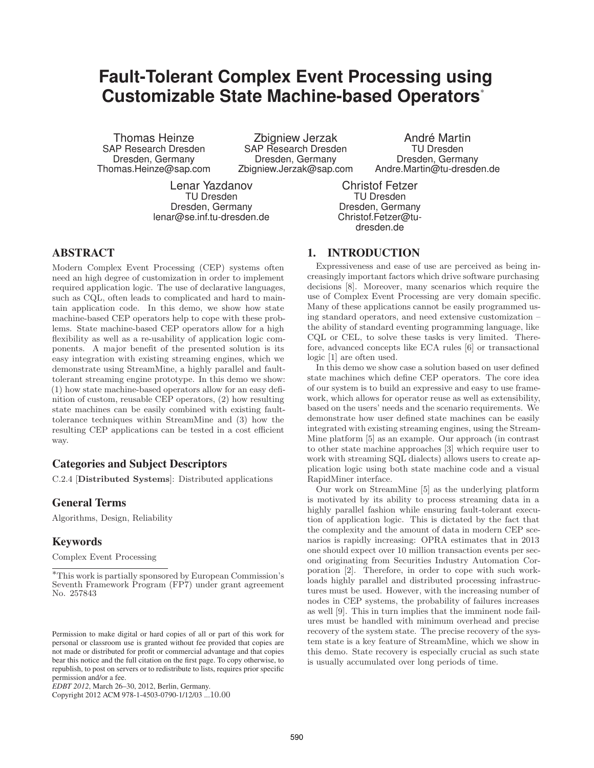# **Fault-Tolerant Complex Event Processing using Customizable State Machine-based Operators**<sup>∗</sup>

Thomas Heinze SAP Research Dresden Dresden, Germany Thomas.Heinze@sap.com

Zbigniew Jerzak SAP Research Dresden Dresden, Germany Zbigniew.Jerzak@sap.com

Lenar Yazdanov TU Dresden Dresden, Germany lenar@se.inf.tu-dresden.de

André Martin TU Dresden Dresden, Germany Andre.Martin@tu-dresden.de

Christof Fetzer TU Dresden Dresden, Germany Christof.Fetzer@tudresden.de

## **ABSTRACT**

Modern Complex Event Processing (CEP) systems often<br>need an high degree of customization in order to implement required application logic. The use of declarative languages, such as CQL, often leads to complicated and hard to maintain application code. In this demo, we show how state machine-based CEP operators help to cope with these problems. State machine-based CEP operators allow for a high flexibility as well as a re-usability of application logic components. A major benefit of the presented solution is its easy integration with existing streaming engines, which we demonstrate using StreamMine, a highly parallel and faulttolerant streaming engine prototype. In this demo we show:  $(1)$  how state machine-based operators allow for an easy definition of custom, reusable CEP operators,  $(2)$  how resulting state machines can be easily combined with existing faulttolerance techniques within Stream Mine and  $(3)$  how the resulting CEP applications can be tested in a cost efficient resulting CEP applications can be tested in a cost efficient in a cost efficient in a cost efficient in a cost efficient in a cost efficient in a cost efficient in a cost efficient in a cost efficient in a cost efficient i way.

## **Categories and Subject Descriptors**

C.2.4 [Distributed Systems]: Distributed applications

#### **General Terms**

Algorithms, Design, Reliability

## **Keywords**

Complex Event Processing

Copyright 2012 ACM 978-1-4503-0790-1/12/03 ...10.00

#### **1. INTRODUCTION**

Expressiveness and ease of use are perceived as being increasingly important factors which drive software purchasing decisions  $[8]$ . Moreover, many scenarios which require the use of Complex Event Processing are very domain specific. Many of these applications cannot be easily programmed using standard operators, and need extensive customization the ability of standard eventing programming language, like  $CQL$  or CEL, to solve these tasks is very limited. Therefore, advanced concepts like ECA rules  $[6]$  or transactional logic  $[1]$  are often used.

In this demo we show case a solution based on user defined state machines which define CEP operators. The core idea of our system is to build an expressive and easy to use framework, which allows for operator reuse as well as extensibility, based on the users' needs and the scenario requirements. We demonstrate how user defined state machines can be easily integrated with existing streaming engines, using the Stream-Mine platform [5] as an example. Our approach (in contrast to other state machine approaches  $[3]$  which require user to work with streaming SQL dialects) allows users to create application logic using both state machine code and a visual RapidMiner interface.

Our work on StreamMine [5] as the underlying platform is motivated by its ability to process streaming data in a highly parallel fashion while ensuring fault-tolerant execution of application logic. This is dictated by the fact that the complexity and the amount of data in modern CEP scenarios is rapidly increasing: OPRA estimates that in 2013 one should expect over 10 million transaction events per second originating from Securities Industry Automation Corporation [2]. Therefore, in order to cope with such workloads highly parallel and distributed processing infrastructures must be used. However, with the increasing number of nodes in CEP systems, the probability of failures increases as well  $[9]$ . This in turn implies that the imminent node failures must be handled with minimum overhead and precise recovery of the system state. The precise recovery of the system state is a key feature of StreamMine, which we show in this demo. State recovery is especially crucial as such state  $t_{\text{max}}$  denotes recovery is especially crucial as such states  $t_{\text{max}}$ is usually accumulated over long periods of time.

<sup>∗</sup>This work is partially sponsored by European Commission's Seventh Framework Program (FP7) under grant agreement no. 257843<br>1

Permission to make digital or hard copies of all or part of this work for personal or classroom use is granted without fee provided that copies are not made or distributed for profit or commercial advantage and that copies bear this notice and the full citation on the first page. To copy otherwise, to republish, to post on servers or to redistribute to lists, requires prior specific permission and/or a fee.

*EDBT 2012*, March 26–30, 2012, Berlin, Germany.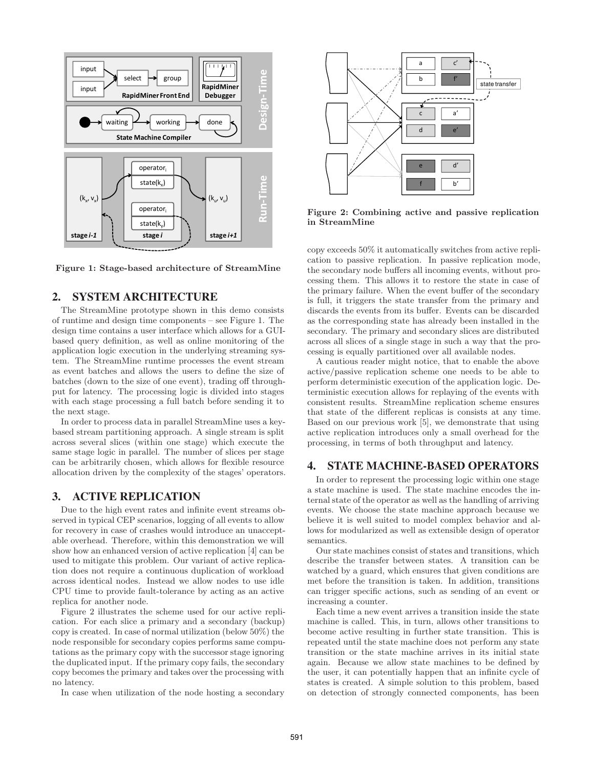

Figure 1: Stage-based architecture of StreamMine

## **2. SYSTEM ARCHITECTURE**

The StreamMine prototype shown in this demo consists of runtime and design time components – see Figure 1. The design time contains a user interface which allows for a GUIbased query definition, as well as online monitoring of the application logic execution in the underlying streaming system. The StreamMine runtime processes the event stream as event batches and allows the users to define the size of batches (down to the size of one event), trading off throughput for latency. The processing logic is divided into stages with each stage processing a full batch before sending it to the next stage.

In order to process data in parallel StreamMine uses a keybased stream partitioning approach. A single stream is split across several slices (within one stage) which execute the same stage logic in parallel. The number of slices per stage can be arbitrarily chosen, which allows for flexible resource can be arbitrarily chosen, which allows for fittings for an allocation driven by the complexity of the stages' operators allocation driven by the complexity of the stagest operators.

## **3. ACTIVE REPLICATION**

Due to the high event rates and infinite event streams observed in typical CEP scenarios, logging of all events to allow for recovery in case of crashes would introduce an unacceptable overhead. Therefore, within this demonstration we will show how an enhanced version of active replication [4] can be used to mitigate this problem. Our variant of active replication does not require a continuous duplication of workload across identical nodes. Instead we allow nodes to use idle CPU time to provide fault-tolerance by acting as an active replica for another node.

Figure 2 illustrates the scheme used for our active replication. For each slice a primary and a secondary (backup) copy is created. In case of normal utilization (below  $50\%$ ) the node responsible for secondary copies performs same computations as the primary copy with the successor stage ignoring the duplicated input. If the primary copy fails, the secondary  $\frac{1}{1}$  the duplication in  $\frac{1}{1}$  the processing with  $\sum_{i=1}^{n}$  becomes the primary and takes over the primary  $\sum_{i=1}^{n}$ 

no latency. In case when utilization of the node hosting a secondary



Figure 2: Combining active and passive replication in StreamMine

copy exceeds 50% it automatically switches from active replication to passive replication. In passive replication mode, the secondary node buffers all incoming events, without processing them. This allows it to restore the state in case of the primary failure. When the event buffer of the secondary is full, it triggers the state transfer from the primary and discards the events from its buffer. Events can be discarded as the corresponding state has already been installed in the secondary. The primary and secondary slices are distributed across all slices of a single stage in such a way that the processing is equally partitioned over all available nodes.

A cautious reader might notice, that to enable the above active/passive replication scheme one needs to be able to perform deterministic execution of the application logic. Deterministic execution allows for replaying of the events with consistent results. StreamMine replication scheme ensures that state of the different replicas is consists at any time. Based on our previous work [5], we demonstrate that using active replication introduces only a small overhead for the active replication introduces only a small overthead for the processing, in terms of both throughput and latency.

#### **4. STATE MACHINE-BASED OPERATORS**

In order to represent the processing logic within one stage a state machine is used. The state machine encodes the internal state of the operator as well as the handling of arriving. events. We choose the state machine approach because we believe it is well suited to model complex behavior and allows for modularized as well as extensible design of operator semantics.

Our state machines consist of states and transitions, which describe the transfer between states. A transition can be watched by a guard, which ensures that given conditions are met before the transition is taken. In addition, transitions can trigger specific actions, such as sending of an event or increasing a counter.

Each time a new event arrives a transition inside the state machine is called. This, in turn, allows other transitions to become active resulting in further state transition. This is repeated until the state machine does not perform any state transition or the state machine arrives in its initial state again. Because we allow state machines to be defined by the user, it can potentially happen that an infinite cycle of states is created. A simple solution to this problem, based states is created. To simple solution to this problem, based on detection of strongly connected components, has been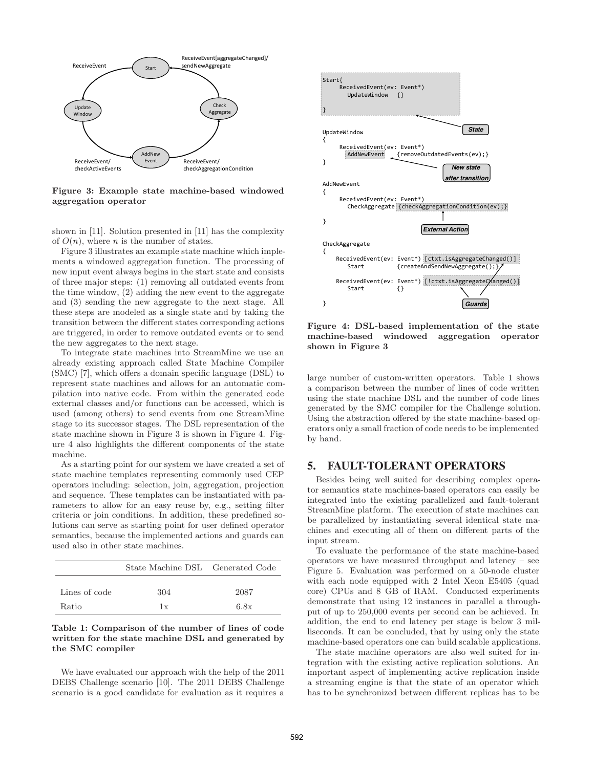

Figure 3: Example state machine-based windowed aggregation operator

shown, in  $O(n)$ , where n is the number of states.<br>Figure 3 illustrates an example state machine which imple-

Figure 3 illustrates an example state machine which implements a windowed aggregation function. The processing of new input event always begins in the start state and consists of three major steps: (1) removing all outdated events from the time window,  $(2)$  adding the new event to the aggregate and  $(3)$  sending the new aggregate to the next stage. All these steps are modeled as a single state and by taking the transition between the different states corresponding actions are triggered, in order to remove outdated events or to send the new aggregates to the next stage.

To integrate state machines into StreamMine we use an already existing approach called State Machine Compiler  $(SMC)$  [7], which offers a domain specific language  $(DSL)$  to represent state machines and allows for an automatic compilation into native code. From within the generated code external classes and/or functions can be accessed, which is used (among others) to send events from one StreamMine stage to its successor stages. The DSL representation of the state machine shown in Figure 3 is shown in Figure 4. Figstate machine shown in Figure 3 is shown in Figure 4. Fig.  $\frac{1}{2}$  also highlights the different components of the state components of the state state  $\frac{1}{2}$ machine.<br>As a starting point for our system we have created a set of

state machine templates representing commonly used CEP operators including: selection, join, aggregation, projection and sequence. These templates can be instantiated with parameters to allow for an easy reuse by, e.g., setting filter criteria or join conditions. In addition, these predefined solutions can serve as starting point for user defined operator semantics, because the implemented actions and guards can used also in other state machines.

|               | State Machine DSL Generated Code |      |
|---------------|----------------------------------|------|
| Lines of code | 304                              | 2087 |
| Ratio         | 1x                               | 6.8x |

#### Table 1: Comparison of the number of lines of code written for the state machine DSL and generated by the SMC compiler

We have evaluated our approach with the help of the 2011<br>DEBS Challenge scenario [10]. The 2011 DEBS Challenge ---- challenge scenario [10]. The 2011 DEBS Challenge scenario is a good candidate for evaluation as it requires a



Figure 4: DSL-based implementation of the state machine-based windowed aggregation operator shown in Figure 3

large number of custom-written operators. Table 1 shows a comparison between the number of lines of code written using the state machine DSL and the number of code lines generated by the SMC compiler for the Challenge solution. Using the abstraction offered by the state machine-based operators only a small fraction of code needs to be implemented by hand. by hand.

### **5. FAULT-TOLERANT OPERATORS**

Besides being well suited for describing complex operator semantics state machines-based operators can easily be integrated into the existing parallelized and fault-tolerant StreamMine platform. The execution of state machines can be parallelized by instantiating several identical state machines and executing all of them on different parts of the input stream.

To evaluate the performance of the state machine-based operators we have measured throughput and latency  $-$  see Figure 5. Evaluation was performed on a 50-node cluster with each node equipped with  $2$  Intel Xeon E5405 (quad core) CPUs and 8 GB of RAM. Conducted experiments demonstrate that using 12 instances in parallel a throughput of up to 250,000 events per second can be achieved. In addition, the end to end latency per stage is below 3 milliseconds. It can be concluded, that by using only the state machine-based operators one can build scalable applications.

The state machine operators are also well suited for integration with the existing active replication solutions. An important aspect of implementing active replication inside a streaming engine is that the state of an operator which a streaming engine is that the state of an operator which<br>has to be synchronized between different replicas has to be has to be synchronized between different replicas has to be